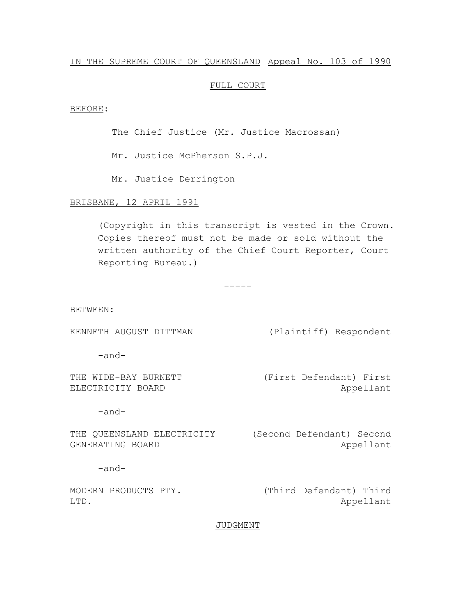## IN THE SUPREME COURT OF QUEENSLAND Appeal No. 103 of 1990

## FULL COURT

## BEFORE:

The Chief Justice (Mr. Justice Macrossan)

Mr. Justice McPherson S.P.J.

Mr. Justice Derrington

BRISBANE, 12 APRIL 1991

(Copyright in this transcript is vested in the Crown. Copies thereof must not be made or sold without the written authority of the Chief Court Reporter, Court Reporting Bureau.)

 $-----$ 

BETWEEN:

KENNETH AUGUST DITTMAN (Plaintiff) Respondent

-and-

THE WIDE-BAY BURNETT ELECTRICITY BOARD (First Defendant) First Appellant

-and-

THE QUEENSLAND ELECTRICITY (Second Defendant) Second GENERATING BOARD

Appellant

-and-

MODERN PRODUCTS PTY. LTD. (Third Defendant) Third Appellant

JUDGMENT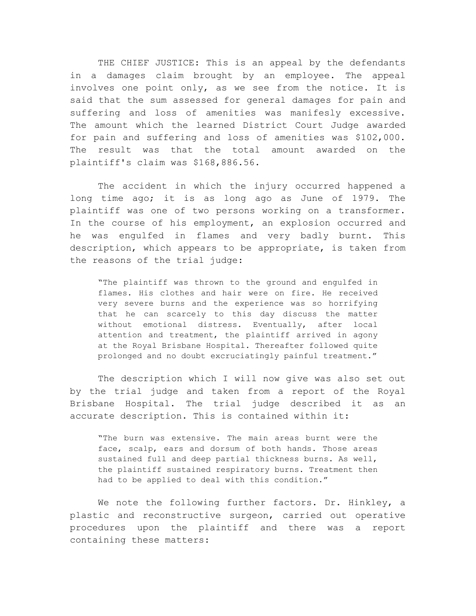THE CHIEF JUSTICE: This is an appeal by the defendants in a damages claim brought by an employee. The appeal involves one point only, as we see from the notice. It is said that the sum assessed for general damages for pain and suffering and loss of amenities was manifesly excessive. The amount which the learned District Court Judge awarded for pain and suffering and loss of amenities was \$102,000. The result was that the total amount awarded on the plaintiff's claim was \$168,886.56.

The accident in which the injury occurred happened a long time ago; it is as long ago as June of 1979. The plaintiff was one of two persons working on a transformer. In the course of his employment, an explosion occurred and he was engulfed in flames and very badly burnt. This description, which appears to be appropriate, is taken from the reasons of the trial judge:

"The plaintiff was thrown to the ground and engulfed in flames. His clothes and hair were on fire. He received very severe burns and the experience was so horrifying that he can scarcely to this day discuss the matter without emotional distress. Eventually, after local attention and treatment, the plaintiff arrived in agony at the Royal Brisbane Hospital. Thereafter followed quite prolonged and no doubt excruciatingly painful treatment."

The description which I will now give was also set out by the trial judge and taken from a report of the Royal Brisbane Hospital. The trial judge described it as an accurate description. This is contained within it:

"The burn was extensive. The main areas burnt were the face, scalp, ears and dorsum of both hands. Those areas sustained full and deep partial thickness burns. As well, the plaintiff sustained respiratory burns. Treatment then had to be applied to deal with this condition."

We note the following further factors. Dr. Hinkley, a plastic and reconstructive surgeon, carried out operative procedures upon the plaintiff and there was a report containing these matters: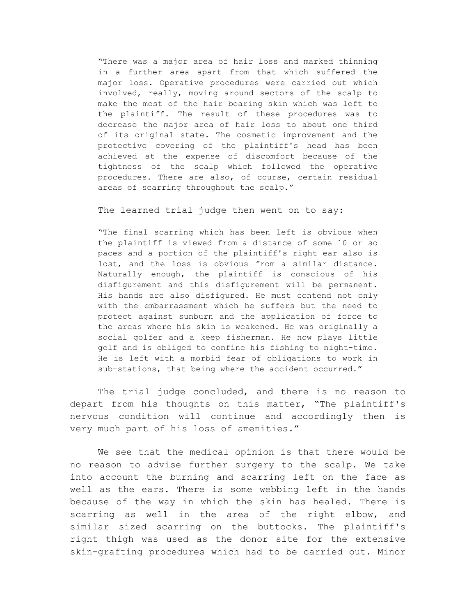"There was a major area of hair loss and marked thinning in a further area apart from that which suffered the major loss. Operative procedures were carried out which involved, really, moving around sectors of the scalp to make the most of the hair bearing skin which was left to the plaintiff. The result of these procedures was to decrease the major area of hair loss to about one third of its original state. The cosmetic improvement and the protective covering of the plaintiff's head has been achieved at the expense of discomfort because of the tightness of the scalp which followed the operative procedures. There are also, of course, certain residual areas of scarring throughout the scalp."

## The learned trial judge then went on to say:

"The final scarring which has been left is obvious when the plaintiff is viewed from a distance of some 10 or so paces and a portion of the plaintiff's right ear also is lost, and the loss is obvious from a similar distance. Naturally enough, the plaintiff is conscious of his disfigurement and this disfigurement will be permanent. His hands are also disfigured. He must contend not only with the embarrassment which he suffers but the need to protect against sunburn and the application of force to the areas where his skin is weakened. He was originally a social golfer and a keep fisherman. He now plays little golf and is obliged to confine his fishing to night-time. He is left with a morbid fear of obligations to work in sub-stations, that being where the accident occurred."

The trial judge concluded, and there is no reason to depart from his thoughts on this matter, "The plaintiff's nervous condition will continue and accordingly then is very much part of his loss of amenities."

We see that the medical opinion is that there would be no reason to advise further surgery to the scalp. We take into account the burning and scarring left on the face as well as the ears. There is some webbing left in the hands because of the way in which the skin has healed. There is scarring as well in the area of the right elbow, and similar sized scarring on the buttocks. The plaintiff's right thigh was used as the donor site for the extensive skin-grafting procedures which had to be carried out. Minor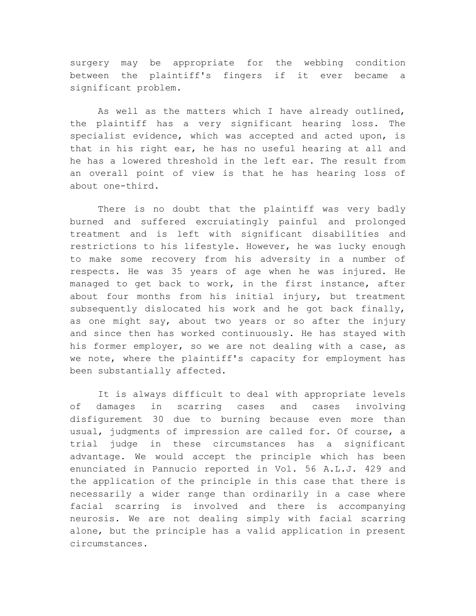surgery may be appropriate for the webbing condition between the plaintiff's fingers if it ever became a significant problem.

As well as the matters which I have already outlined, the plaintiff has a very significant hearing loss. The specialist evidence, which was accepted and acted upon, is that in his right ear, he has no useful hearing at all and he has a lowered threshold in the left ear. The result from an overall point of view is that he has hearing loss of about one-third.

There is no doubt that the plaintiff was very badly burned and suffered excruiatingly painful and prolonged treatment and is left with significant disabilities and restrictions to his lifestyle. However, he was lucky enough to make some recovery from his adversity in a number of respects. He was 35 years of age when he was injured. He managed to get back to work, in the first instance, after about four months from his initial injury, but treatment subsequently dislocated his work and he got back finally, as one might say, about two years or so after the injury and since then has worked continuously. He has stayed with his former employer, so we are not dealing with a case, as we note, where the plaintiff's capacity for employment has been substantially affected.

It is always difficult to deal with appropriate levels of damages in scarring cases and cases involving disfigurement 30 due to burning because even more than usual, judgments of impression are called for. Of course, a trial judge in these circumstances has a significant advantage. We would accept the principle which has been enunciated in Pannucio reported in Vol. 56 A.L.J. 429 and the application of the principle in this case that there is necessarily a wider range than ordinarily in a case where facial scarring is involved and there is accompanying neurosis. We are not dealing simply with facial scarring alone, but the principle has a valid application in present circumstances.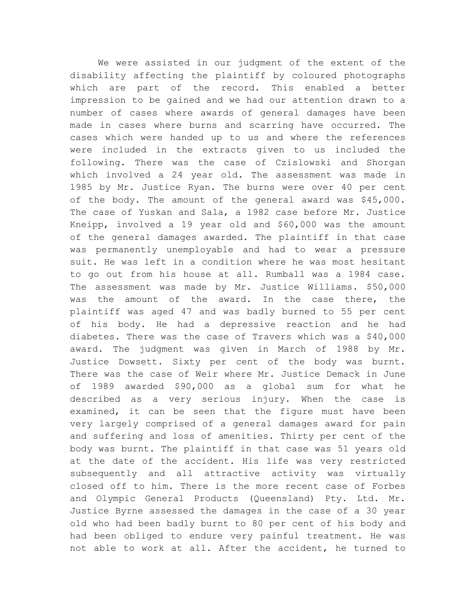We were assisted in our judgment of the extent of the disability affecting the plaintiff by coloured photographs which are part of the record. This enabled a better impression to be gained and we had our attention drawn to a number of cases where awards of general damages have been made in cases where burns and scarring have occurred. The cases which were handed up to us and where the references were included in the extracts given to us included the following. There was the case of Czislowski and Shorgan which involved a 24 year old. The assessment was made in 1985 by Mr. Justice Ryan. The burns were over 40 per cent of the body. The amount of the general award was \$45,000. The case of Yuskan and Sala, a 1982 case before Mr. Justice Kneipp, involved a 19 year old and \$60,000 was the amount of the general damages awarded. The plaintiff in that case was permanently unemployable and had to wear a pressure suit. He was left in a condition where he was most hesitant to go out from his house at all. Rumball was a 1984 case. The assessment was made by Mr. Justice Williams. \$50,000 was the amount of the award. In the case there, the plaintiff was aged 47 and was badly burned to 55 per cent of his body. He had a depressive reaction and he had diabetes. There was the case of Travers which was a \$40,000 award. The judgment was given in March of 1988 by Mr. Justice Dowsett. Sixty per cent of the body was burnt. There was the case of Weir where Mr. Justice Demack in June of 1989 awarded \$90,000 as a global sum for what he described as a very serious injury. When the case is examined, it can be seen that the figure must have been very largely comprised of a general damages award for pain and suffering and loss of amenities. Thirty per cent of the body was burnt. The plaintiff in that case was 51 years old at the date of the accident. His life was very restricted subsequently and all attractive activity was virtually closed off to him. There is the more recent case of Forbes and Olympic General Products (Queensland) Pty. Ltd. Mr. Justice Byrne assessed the damages in the case of a 30 year old who had been badly burnt to 80 per cent of his body and had been obliged to endure very painful treatment. He was not able to work at all. After the accident, he turned to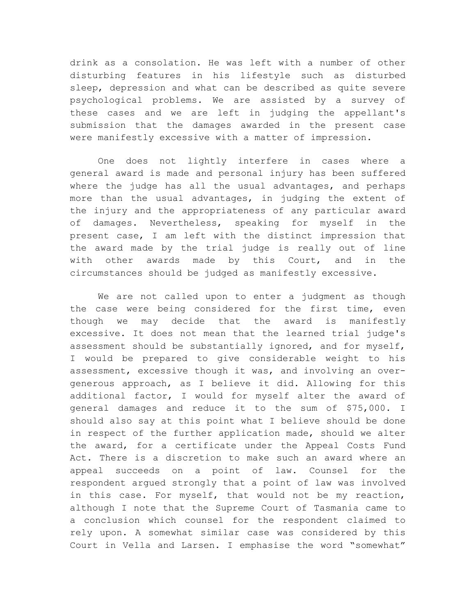drink as a consolation. He was left with a number of other disturbing features in his lifestyle such as disturbed sleep, depression and what can be described as quite severe psychological problems. We are assisted by a survey of these cases and we are left in judging the appellant's submission that the damages awarded in the present case were manifestly excessive with a matter of impression.

One does not lightly interfere in cases where a general award is made and personal injury has been suffered where the judge has all the usual advantages, and perhaps more than the usual advantages, in judging the extent of the injury and the appropriateness of any particular award of damages. Nevertheless, speaking for myself in the present case, I am left with the distinct impression that the award made by the trial judge is really out of line with other awards made by this Court, and in the circumstances should be judged as manifestly excessive.

We are not called upon to enter a judgment as though the case were being considered for the first time, even though we may decide that the award is manifestly excessive. It does not mean that the learned trial judge's assessment should be substantially ignored, and for myself, I would be prepared to give considerable weight to his assessment, excessive though it was, and involving an overgenerous approach, as I believe it did. Allowing for this additional factor, I would for myself alter the award of general damages and reduce it to the sum of \$75,000. I should also say at this point what I believe should be done in respect of the further application made, should we alter the award, for a certificate under the Appeal Costs Fund Act. There is a discretion to make such an award where an appeal succeeds on a point of law. Counsel for the respondent argued strongly that a point of law was involved in this case. For myself, that would not be my reaction, although I note that the Supreme Court of Tasmania came to a conclusion which counsel for the respondent claimed to rely upon. A somewhat similar case was considered by this Court in Vella and Larsen. I emphasise the word "somewhat"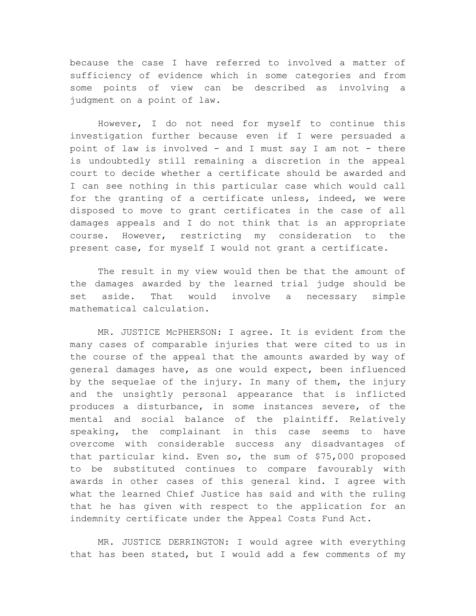because the case I have referred to involved a matter of sufficiency of evidence which in some categories and from some points of view can be described as involving a judgment on a point of law.

However, I do not need for myself to continue this investigation further because even if I were persuaded a point of law is involved - and I must say I am not - there is undoubtedly still remaining a discretion in the appeal court to decide whether a certificate should be awarded and I can see nothing in this particular case which would call for the granting of a certificate unless, indeed, we were disposed to move to grant certificates in the case of all damages appeals and I do not think that is an appropriate course. However, restricting my consideration to the present case, for myself I would not grant a certificate.

The result in my view would then be that the amount of the damages awarded by the learned trial judge should be set aside. That would involve a necessary simple mathematical calculation.

MR. JUSTICE McPHERSON: I agree. It is evident from the many cases of comparable injuries that were cited to us in the course of the appeal that the amounts awarded by way of general damages have, as one would expect, been influenced by the sequelae of the injury. In many of them, the injury and the unsightly personal appearance that is inflicted produces a disturbance, in some instances severe, of the mental and social balance of the plaintiff. Relatively speaking, the complainant in this case seems to have overcome with considerable success any disadvantages of that particular kind. Even so, the sum of \$75,000 proposed to be substituted continues to compare favourably with awards in other cases of this general kind. I agree with what the learned Chief Justice has said and with the ruling that he has given with respect to the application for an indemnity certificate under the Appeal Costs Fund Act.

MR. JUSTICE DERRINGTON: I would agree with everything that has been stated, but I would add a few comments of my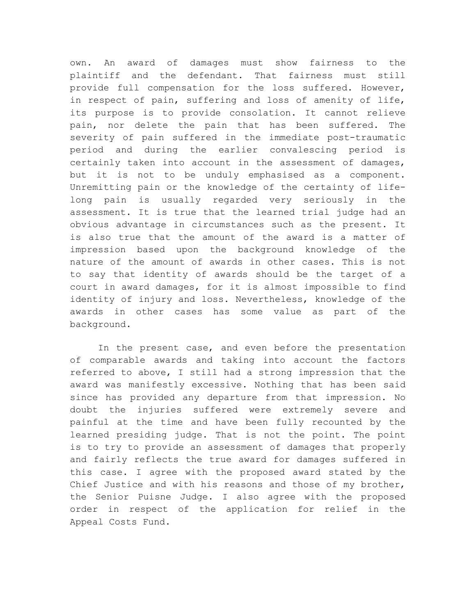own. An award of damages must show fairness to the plaintiff and the defendant. That fairness must still provide full compensation for the loss suffered. However, in respect of pain, suffering and loss of amenity of life, its purpose is to provide consolation. It cannot relieve pain, nor delete the pain that has been suffered. The severity of pain suffered in the immediate post-traumatic period and during the earlier convalescing period is certainly taken into account in the assessment of damages, but it is not to be unduly emphasised as a component. Unremitting pain or the knowledge of the certainty of lifelong pain is usually regarded very seriously in the assessment. It is true that the learned trial judge had an obvious advantage in circumstances such as the present. It is also true that the amount of the award is a matter of impression based upon the background knowledge of the nature of the amount of awards in other cases. This is not to say that identity of awards should be the target of a court in award damages, for it is almost impossible to find identity of injury and loss. Nevertheless, knowledge of the awards in other cases has some value as part of the background.

In the present case, and even before the presentation of comparable awards and taking into account the factors referred to above, I still had a strong impression that the award was manifestly excessive. Nothing that has been said since has provided any departure from that impression. No doubt the injuries suffered were extremely severe and painful at the time and have been fully recounted by the learned presiding judge. That is not the point. The point is to try to provide an assessment of damages that properly and fairly reflects the true award for damages suffered in this case. I agree with the proposed award stated by the Chief Justice and with his reasons and those of my brother, the Senior Puisne Judge. I also agree with the proposed order in respect of the application for relief in the Appeal Costs Fund.